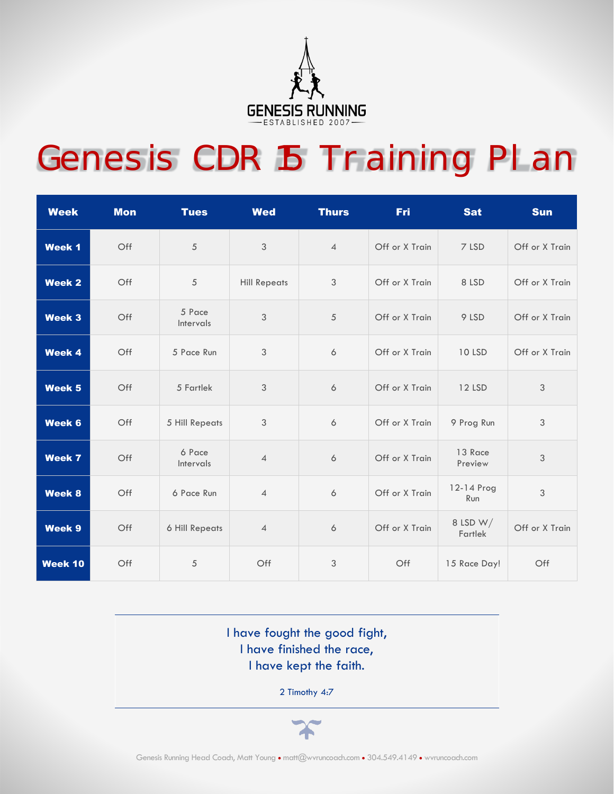

## Genesis CDR 15 Training Plan

| <b>Week</b>   | <b>Mon</b> | <b>Tues</b>         | <b>Wed</b>          | <b>Thurs</b>     | <b>Fri</b>     | <b>Sat</b>          | <b>Sun</b>     |
|---------------|------------|---------------------|---------------------|------------------|----------------|---------------------|----------------|
| <b>Week 1</b> | Off        | $\sqrt{5}$          | $\mathfrak{Z}$      | $\overline{4}$   | Off or X Train | 7 LSD               | Off or X Train |
| <b>Week 2</b> | Off        | $\sqrt{5}$          | <b>Hill Repeats</b> | $\sqrt{3}$       | Off or X Train | 8 LSD               | Off or X Train |
| <b>Week 3</b> | Off        | 5 Pace<br>Intervals | 3                   | 5                | Off or X Train | 9 LSD               | Off or X Train |
| Week 4        | Off        | 5 Pace Run          | $\mathfrak{Z}$      | 6                | Off or X Train | <b>10 LSD</b>       | Off or X Train |
| Week 5        | Off        | 5 Fartlek           | $\mathfrak{Z}$      | 6                | Off or X Train | 12 LSD              | 3              |
| Week 6        | Off        | 5 Hill Repeats      | $\sqrt{3}$          | $\boldsymbol{6}$ | Off or X Train | 9 Prog Run          | 3              |
| <b>Week 7</b> | Off        | 6 Pace<br>Intervals | $\overline{4}$      | 6                | Off or X Train | 13 Race<br>Preview  | 3              |
| <b>Week 8</b> | Off        | 6 Pace Run          | $\overline{4}$      | 6                | Off or X Train | 12-14 Prog<br>Run   | 3              |
| Week 9        | Off        | 6 Hill Repeats      | $\overline{4}$      | 6                | Off or X Train | 8 LSD W/<br>Fartlek | Off or X Train |
| Week 10       | Off        | $\sqrt{5}$          | Off                 | $\sqrt{3}$       | Off            | 15 Race Day!        | Off            |

I have fought the good fight, I have finished the race, I have kept the faith.

2 Timothy 4:7